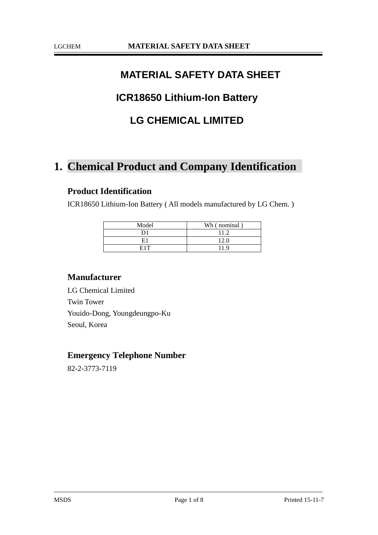# **MATERIAL SAFETY DATA SHEET**

# **ICR18650 Lithium-Ion Battery**

# **LG CHEMICAL LIMITED**

# **1. Chemical Product and Company Identification**

### **Product Identification**

ICR18650 Lithium-Ion Battery ( All models manufactured by LG Chem. )

| Model | Wh (nominal) |
|-------|--------------|
|       |              |
| ч.    | 12 0         |
| E1T   | 1 Q          |

### **Manufacturer**

LG Chemical Limited Twin Tower Youido-Dong, Youngdeungpo-Ku Seoul, Korea

### **Emergency Telephone Number**

82-2-3773-7119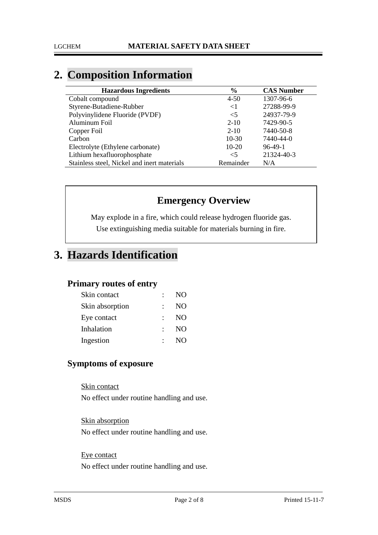# **2. Composition Information**

| <b>Hazardous Ingredients</b>                | $\frac{6}{9}$ | <b>CAS Number</b> |
|---------------------------------------------|---------------|-------------------|
| Cobalt compound                             | $4 - 50$      | 1307-96-6         |
| Styrene-Butadiene-Rubber                    | $<$ 1         | 27288-99-9        |
| Polyvinylidene Fluoride (PVDF)              | $\leq$ 5      | 24937-79-9        |
| Aluminum Foil                               | $2 - 10$      | 7429-90-5         |
| Copper Foil                                 | $2 - 10$      | 7440-50-8         |
| Carbon                                      | $10-30$       | 7440-44-0         |
| Electrolyte (Ethylene carbonate)            | 10-20         | $96-49-1$         |
| Lithium hexafluorophosphate                 | $<$ 5         | 21324-40-3        |
| Stainless steel, Nickel and inert materials | Remainder     | N/A               |

# **Emergency Overview**

May explode in a fire, which could release hydrogen fluoride gas. Use extinguishing media suitable for materials burning in fire.

# **3. Hazards Identification**

### **Primary routes of entry**

| Skin contact    | $\mathcal{L}$ | NO <sub>1</sub> |
|-----------------|---------------|-----------------|
| Skin absorption |               | N <sub>O</sub>  |
| Eye contact     |               | N <sub>O</sub>  |
| Inhalation      | $\bullet$ .   | N <sub>O</sub>  |
| Ingestion       |               | N <sub>O</sub>  |

# **Symptoms of exposure**

Skin contact

No effect under routine handling and use.

Skin absorption No effect under routine handling and use.

### Eye contact

No effect under routine handling and use.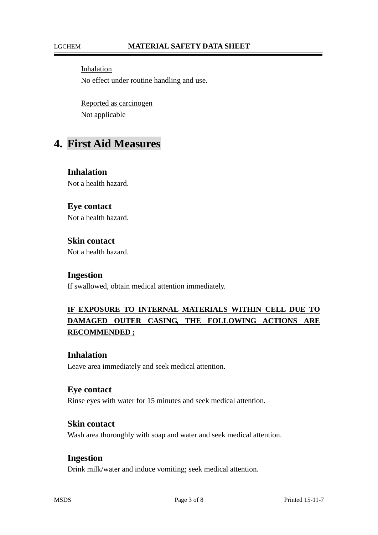Inhalation No effect under routine handling and use.

Reported as carcinogen Not applicable

# **4. First Aid Measures**

**Inhalation** Not a health hazard.

### **Eye contact**

Not a health hazard.

## **Skin contact**

Not a health hazard.

### **Ingestion**

If swallowed, obtain medical attention immediately.

# **IF EXPOSURE TO INTERNAL MATERIALS WITHIN CELL DUE TO DAMAGED OUTER CASING, THE FOLLOWING ACTIONS ARE RECOMMENDED ;**

### **Inhalation**

Leave area immediately and seek medical attention.

### **Eye contact**

Rinse eyes with water for 15 minutes and seek medical attention.

#### **Skin contact**

Wash area thoroughly with soap and water and seek medical attention.

### **Ingestion**

Drink milk/water and induce vomiting; seek medical attention.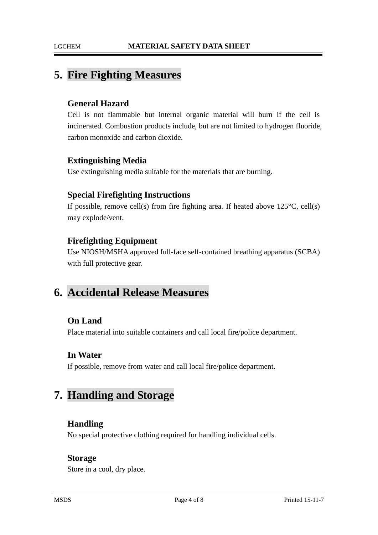# **5. Fire Fighting Measures**

### **General Hazard**

Cell is not flammable but internal organic material will burn if the cell is incinerated. Combustion products include, but are not limited to hydrogen fluoride, carbon monoxide and carbon dioxide.

### **Extinguishing Media**

Use extinguishing media suitable for the materials that are burning.

### **Special Firefighting Instructions**

If possible, remove cell(s) from fire fighting area. If heated above  $125^{\circ}C$ , cell(s) may explode/vent.

### **Firefighting Equipment**

Use NIOSH/MSHA approved full-face self-contained breathing apparatus (SCBA) with full protective gear.

# **6. Accidental Release Measures**

### **On Land**

Place material into suitable containers and call local fire/police department.

### **In Water**

If possible, remove from water and call local fire/police department.

# **7. Handling and Storage**

### **Handling**

No special protective clothing required for handling individual cells.

### **Storage**

Store in a cool, dry place.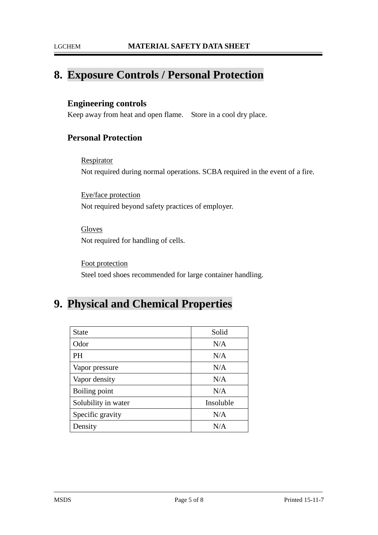# **8. Exposure Controls / Personal Protection**

### **Engineering controls**

Keep away from heat and open flame. Store in a cool dry place.

## **Personal Protection**

**Respirator** Not required during normal operations. SCBA required in the event of a fire.

Eye/face protection Not required beyond safety practices of employer.

Gloves Not required for handling of cells.

Foot protection Steel toed shoes recommended for large container handling.

# **9. Physical and Chemical Properties**

| <b>State</b>        | Solid     |
|---------------------|-----------|
| Odor                | N/A       |
| PH                  | N/A       |
| Vapor pressure      | N/A       |
| Vapor density       | N/A       |
| Boiling point       | N/A       |
| Solubility in water | Insoluble |
| Specific gravity    | N/A       |
| Density             | N/A       |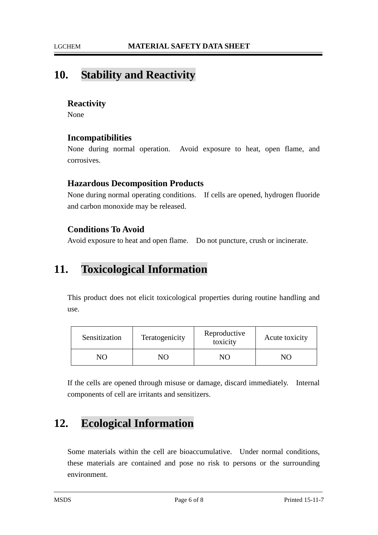# **10. Stability and Reactivity**

### **Reactivity**

None

### **Incompatibilities**

None during normal operation. Avoid exposure to heat, open flame, and corrosives.

### **Hazardous Decomposition Products**

None during normal operating conditions. If cells are opened, hydrogen fluoride and carbon monoxide may be released.

### **Conditions To Avoid**

Avoid exposure to heat and open flame. Do not puncture, crush or incinerate.

# **11. Toxicological Information**

This product does not elicit toxicological properties during routine handling and use.

| Sensitization  | Teratogenicity | Reproductive<br>toxicity | Acute toxicity |
|----------------|----------------|--------------------------|----------------|
| N <sub>0</sub> | NО             |                          |                |

If the cells are opened through misuse or damage, discard immediately. Internal components of cell are irritants and sensitizers.

# **12. Ecological Information**

Some materials within the cell are bioaccumulative. Under normal conditions, these materials are contained and pose no risk to persons or the surrounding environment.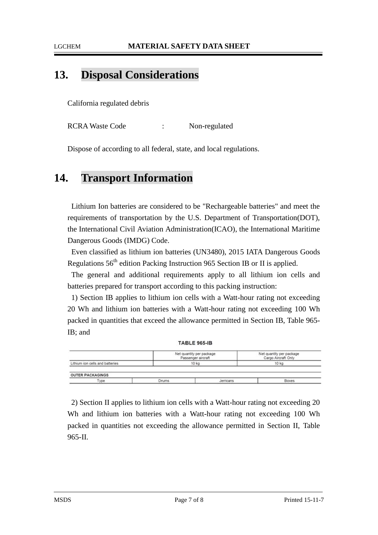### LGCHEM **MATERIAL SAFETY DATA SHEET**

# **13. Disposal Considerations**

California regulated debris

RCRA Waste Code : Non-regulated

Dispose of according to all federal, state, and local regulations.

# **14. Transport Information**

Lithium Ion batteries are considered to be "Rechargeable batteries" and meet the requirements of transportation by the U.S. Department of Transportation(DOT), the International Civil Aviation Administration(ICAO), the International Maritime Dangerous Goods (IMDG) Code.

Even classified as lithium ion batteries (UN3480), 2015 IATA Dangerous Goods Regulations 56<sup>th</sup> edition Packing Instruction 965 Section IB or II is applied.

The general and additional requirements apply to all lithium ion cells and batteries prepared for transport according to this packing instruction:

1) Section IB applies to lithium ion cells with a Watt-hour rating not exceeding 20 Wh and lithium ion batteries with a Watt-hour rating not exceeding 100 Wh packed in quantities that exceed the allowance permitted in Section IB, Table 965- IB; and

|                                 | <b>TABLE 965-IB</b> |                                                |                                                 |
|---------------------------------|---------------------|------------------------------------------------|-------------------------------------------------|
|                                 |                     | Net quantity per package<br>Passenger aircraft | Net quantity per package<br>Cargo Aircraft Only |
| Lithium ion cells and batteries |                     | 10 kg                                          | 10 kg                                           |
| <b>OUTER PACKAGINGS</b>         |                     |                                                |                                                 |
| Type                            | <b>Drums</b>        | <b>Jerricans</b>                               | <b>Boxes</b>                                    |

2) Section II applies to lithium ion cells with a Watt-hour rating not exceeding 20 Wh and lithium ion batteries with a Watt-hour rating not exceeding 100 Wh packed in quantities not exceeding the allowance permitted in Section II, Table 965-II.